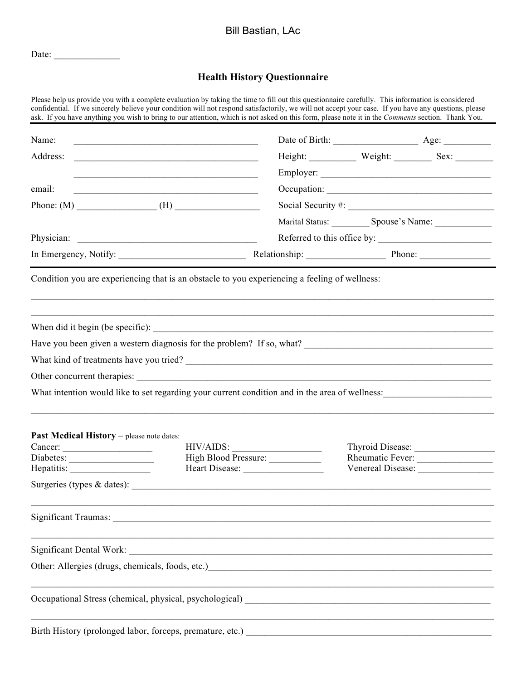# Bill Bastian, LAc

Date: \_\_\_\_\_\_\_\_\_\_\_\_\_\_

# **Health History Questionnaire**

|                                                           |                                                                                                                      | Please help us provide you with a complete evaluation by taking the time to fill out this questionnaire carefully. This information is considered<br>confidential. If we sincerely believe your condition will not respond satisfactorily, we will not accept your case. If you have any questions, please<br>ask. If you have anything you wish to bring to our attention, which is not asked on this form, please note it in the Comments section. Thank You. |  |                  |
|-----------------------------------------------------------|----------------------------------------------------------------------------------------------------------------------|-----------------------------------------------------------------------------------------------------------------------------------------------------------------------------------------------------------------------------------------------------------------------------------------------------------------------------------------------------------------------------------------------------------------------------------------------------------------|--|------------------|
| Name:                                                     |                                                                                                                      |                                                                                                                                                                                                                                                                                                                                                                                                                                                                 |  |                  |
| Address:                                                  | <u> 1989 - Johann Stoff, fransk kampbeskip (d. 1989)</u>                                                             |                                                                                                                                                                                                                                                                                                                                                                                                                                                                 |  |                  |
|                                                           |                                                                                                                      |                                                                                                                                                                                                                                                                                                                                                                                                                                                                 |  |                  |
| email:                                                    | <u> 1980 - Johann John Stone, mars eta biztanleria (h. 1980).</u>                                                    |                                                                                                                                                                                                                                                                                                                                                                                                                                                                 |  |                  |
|                                                           | <u> 2008 - Jan Barbara Barbara, política establecera en la contrada de la contrada de la contrada de la contrada</u> |                                                                                                                                                                                                                                                                                                                                                                                                                                                                 |  |                  |
|                                                           |                                                                                                                      |                                                                                                                                                                                                                                                                                                                                                                                                                                                                 |  |                  |
|                                                           |                                                                                                                      | Marital Status: Spouse's Name:                                                                                                                                                                                                                                                                                                                                                                                                                                  |  |                  |
|                                                           |                                                                                                                      | Referred to this office by:                                                                                                                                                                                                                                                                                                                                                                                                                                     |  |                  |
|                                                           |                                                                                                                      |                                                                                                                                                                                                                                                                                                                                                                                                                                                                 |  |                  |
|                                                           |                                                                                                                      |                                                                                                                                                                                                                                                                                                                                                                                                                                                                 |  |                  |
|                                                           |                                                                                                                      |                                                                                                                                                                                                                                                                                                                                                                                                                                                                 |  |                  |
|                                                           |                                                                                                                      | Have you been given a western diagnosis for the problem? If so, what?                                                                                                                                                                                                                                                                                                                                                                                           |  |                  |
|                                                           |                                                                                                                      |                                                                                                                                                                                                                                                                                                                                                                                                                                                                 |  |                  |
|                                                           |                                                                                                                      |                                                                                                                                                                                                                                                                                                                                                                                                                                                                 |  |                  |
|                                                           |                                                                                                                      | What intention would like to set regarding your current condition and in the area of wellness:                                                                                                                                                                                                                                                                                                                                                                  |  |                  |
| <b>Past Medical History</b> – please note dates:          |                                                                                                                      |                                                                                                                                                                                                                                                                                                                                                                                                                                                                 |  |                  |
|                                                           |                                                                                                                      | HIV/AIDS:                                                                                                                                                                                                                                                                                                                                                                                                                                                       |  |                  |
|                                                           |                                                                                                                      |                                                                                                                                                                                                                                                                                                                                                                                                                                                                 |  | Rheumatic Fever: |
| Surgeries (types & dates):                                |                                                                                                                      | the control of the control of the control of the control of the control of the control of the control of the control of the control of the control of the control of the control of the control of the control of the control                                                                                                                                                                                                                                   |  |                  |
|                                                           |                                                                                                                      |                                                                                                                                                                                                                                                                                                                                                                                                                                                                 |  |                  |
| <b>Significant Dental Work:</b>                           |                                                                                                                      | <u> 1989 - Andrea Andrew Maria (h. 1989).</u>                                                                                                                                                                                                                                                                                                                                                                                                                   |  |                  |
| Other: Allergies (drugs, chemicals, foods, etc.)          |                                                                                                                      |                                                                                                                                                                                                                                                                                                                                                                                                                                                                 |  |                  |
|                                                           |                                                                                                                      |                                                                                                                                                                                                                                                                                                                                                                                                                                                                 |  |                  |
| Birth History (prolonged labor, forceps, premature, etc.) |                                                                                                                      |                                                                                                                                                                                                                                                                                                                                                                                                                                                                 |  |                  |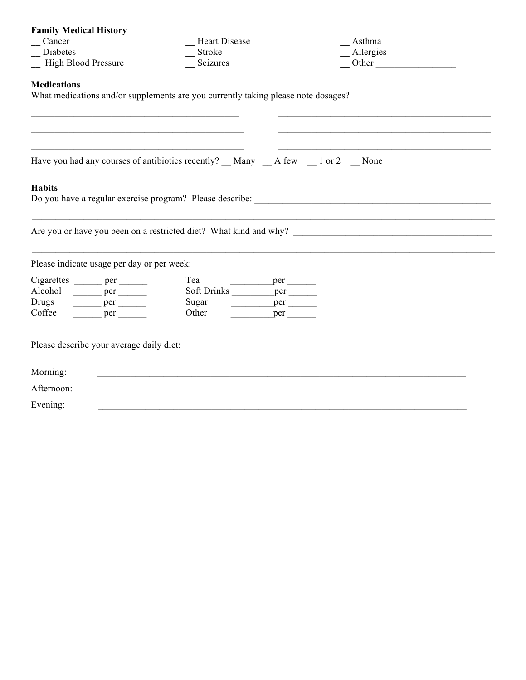| <b>Family Medical History</b>                            |                                                                                   |                                                                   |  |
|----------------------------------------------------------|-----------------------------------------------------------------------------------|-------------------------------------------------------------------|--|
| Cancer                                                   | <b>Heart Disease</b>                                                              | Asthma                                                            |  |
| Diabetes                                                 | Stroke                                                                            | Allergies                                                         |  |
| High Blood Pressure                                      | Seizures                                                                          | Other <u>the contract of</u>                                      |  |
| <b>Medications</b>                                       |                                                                                   |                                                                   |  |
|                                                          | What medications and/or supplements are you currently taking please note dosages? |                                                                   |  |
|                                                          |                                                                                   |                                                                   |  |
|                                                          |                                                                                   |                                                                   |  |
|                                                          | Have you had any courses of antibiotics recently? Many A few 1 or 2 None          |                                                                   |  |
| <b>Habits</b>                                            |                                                                                   |                                                                   |  |
|                                                          |                                                                                   | Are you or have you been on a restricted diet? What kind and why? |  |
| Please indicate usage per day or per week:               |                                                                                   |                                                                   |  |
| Cigarettes ______ per ______                             | Tea                                                                               | per                                                               |  |
| Alcohol<br>$\rule{1em}{0.15mm}$ per $\rule{1em}{0.15mm}$ | Soft Drinks ___________ per ______                                                |                                                                   |  |
| Drugs                                                    | Sugar<br>$per$ $per$                                                              |                                                                   |  |
| Coffee<br>per and the per-                               | Other                                                                             | $per$ <sub>_______</sub>                                          |  |
| Please describe your average daily diet:                 |                                                                                   |                                                                   |  |
| Morning:                                                 |                                                                                   |                                                                   |  |
| Afternoon:                                               |                                                                                   |                                                                   |  |
| Evening:                                                 |                                                                                   |                                                                   |  |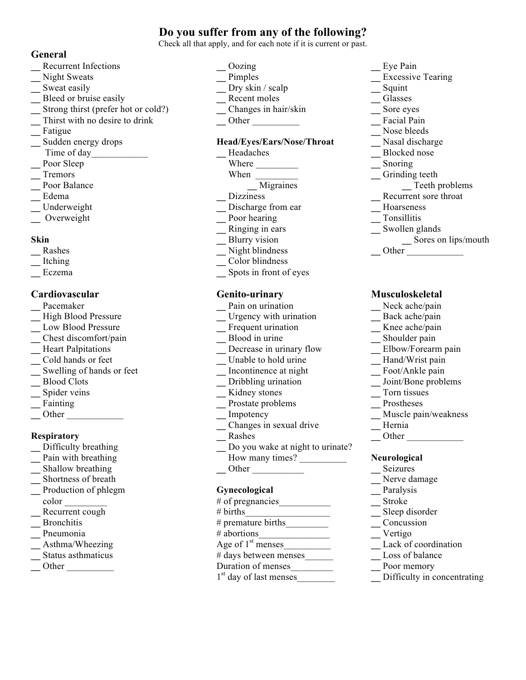## **Do you suffer from any of the following?**

Check all that apply, and for each note if it is current or past.

### **General**

- **\_\_** Recurrent Infections **\_\_\_** Oozing **\_\_\_ Eye Pain**
- 
- 
- 
- Bleed or bruise easily<br>
Strong thirst (prefer hot or cold?)<br>  $\frac{1}{2}$  Recent moles<br>  $\frac{1}{2}$  Recent moles<br>  $\frac{1}{2}$  Glasses<br>
Sore eyes **\_\_** Strong thirst (prefer hot or cold?) **\_\_** Changes in hair/skin **\_\_** Sore eyes
- **\_\_** Thirst with no desire to drink **\_\_** Other \_\_\_\_\_\_\_\_\_\_ **\_\_** Facial Pain
- 
- 
- Time of day\_\_\_\_\_\_\_\_\_\_\_\_ **\_\_** Headaches **\_\_** Blocked nose
- $\frac{1}{2}$  Poor Sleep<br>
Tremors When<br>
When
- 
- **\_\_** Tremors When \_\_\_\_\_\_\_\_\_ **\_\_** Grinding teeth **Poor Balance a a** *\_\_**Migraines* **<b>\_\_** *\_\_* Teeth problems
- 
- 
- 

- 
- 
- 

# **Cardiovascular Genito-urinary Musculoskeletal Musculoskeletal Pacemaker Pacemaker Pain on urination Musculoskeletal**

- 
- 
- 
- $\frac{ }{ }$  Low Blood Pressure  $\frac{ }{ }$  Frequent urination  $\frac{ }{ }$  Knee ache/pain  $\frac{ }{ }$  Shoulder pain
- 
- 
- $\frac{ }{ }$  Swelling of hands or feet  $\frac{ }{ }$  Incontinence at night **Dependence 1 Dependence 1 Dependence Dependence Dependence Dependence Dependence Dependence Dependence Dependence Dependence Depen**
- 
- 
- 
- 

- 
- 
- 
- 
- $\frac{N}{\text{S}}$  Shortness of breath  $\frac{N}{\text{S}}$  Production of phlegm **Gynecological** Broadways **Next** Paralysis  $\frac{1}{2}$  Production of phlegm **Gynecological**  $\frac{1}{2}$  Paralysis **Color**  $\frac{1}{2}$  Paralysis **Exercise Exercise Exercise Exercise Gynecological Exercise** color  $\frac{\# \text{ of pregnancies}}{\# \text{ births}}$   $\frac{\text{Stroke}}{\text{sleep disorder}}$
- 
- 
- 
- **\_\_** Asthma/Wheezing Status asthmaticus
- 
- 
- 
- 
- $\frac{1}{2}$  Dry skin / scalp **\_\_** Squint **\_\_** Glasses
- 
- 
- 

# $\frac{1}{\text{Value}}$  Fatigue Sudden energy drops **and Head/Eyes/Ears/Nose/Throat** Masal discha **Head/Eyes/Ears/Nose/Throat**  $\qquad$  **\_\_** Nasal discharge **\_\_** Headaches **\_\_** Blocked nose

- - -
		-
- Edema **Later Edema Later Solution Later Solution Later Solution Later Solution Later Solution Later Solution Later Solution Later Solution Later Solution Later Solution Later Solution Later Solution**
- $\frac{ }{ }$  Discharge from ear  $\frac{ }{ }$  Bischarge from ear  $\frac{ }{ }$  Hoarseness Tonsillitis
	-
	- **\_\_** Poor hearing **\_\_** Ringing in ears **\_\_** Ringing in ears \_\_\_ \_\_ Swollen glands \_\_\_ \_\_ Swollen glands \_\_\_ Sores or
	-
- **Skin**<br> **Example 3**<br> **Example 3**<br> **Example 3**<br> **Example 3**<br> **Example 3**<br> **Example 3**<br> **Example 3**<br> **Example 3**<br> **Example 3**<br> **Other**
- **\_\_** Rashes **\_\_** Night blindness **\_\_** Other \_\_\_\_\_\_\_\_\_\_\_\_
- Litching Litching **Little Strategies** Little Spots in front of Spots in front of  $\Box$  Spots in front of eyes

- 
- $\frac{1}{2}$  Pain on urination  $\frac{1}{2}$  Neck ache/pain<br>  $\frac{1}{2}$  High Blood Pressure  $\frac{1}{2}$  Urgency with urination  $\frac{1}{2}$  Back ache/pain  $\frac{ }{ }$  Urgency with urination  $\frac{ }{ }$  Back ache/pain Frequent urination  $\frac{ }{ }$  Knee ache/pain
	-
	-
- $\frac{ }{ }$  Chest discomfort/pain  $\frac{ }{ }$  Blood in urine  $\frac{ }{ }$  Shoulder pain Elbow/Forearm pain **\_\_** Heart Palpitations \_\_\_ \_\_\_ Decrease in urinary flow \_\_\_ \_\_ \_\_ Decrease in urinary flow
	- **\_\_** Cold hands or feet **\_\_** Unable to hold urine **\_\_** Hand/Wrist pain
	-
- **\_\_** Blood Clots **\_\_** Dribbling urination **\_\_** Joint/Bone problems
	-
- **\_\_** Spider veins **\_\_** Kidney stones **\_\_** Torn tissues **Prostate problems** 
	-
- **\_\_** Other \_\_\_\_\_\_\_\_\_\_\_\_ **\_\_** Impotency **\_\_** Muscle pain/weakness  $\frac{1}{\sqrt{1-\text{Rabs}}}$  Changes in sexual drive
	-
- **Respiratory \_\_** Rashes **\_\_** Other \_\_\_\_\_\_\_\_\_\_\_\_ **\_\_** Difficulty breathing **\_\_** Do you wake at night to urinate?<br>Pain with breathing **\_\_** How many times? **\_\_** Pain with breathing How many times? \_\_\_\_\_\_\_\_\_\_ **Neurological** 
	- **\_\_** Shallow breathing **\_\_** Other \_\_\_\_\_\_\_\_\_\_\_ **\_\_** Seizures

- 
- 
- **\_\_** Recurrent cough # births\_\_\_\_\_\_\_\_\_\_\_\_\_\_\_\_\_\_ **\_\_** Sleep disorder **\_\_** Bronchitis # premature births \_\_\_\_\_\_\_ <br>
Pheumonia # abortions \_\_\_\_\_\_\_\_ Pertigo
	-
	- $\frac{\text{# abortions}}{\text{Age of 1}}$
	- **\_\_** Status asthmaticus # days between menses\_\_\_\_\_\_ **\_\_** Loss of balance
- $\frac{1}{2}$  Other **Duration of menses** 
	- 1<sup>st</sup> day of last menses **and Difficulty in concentrating**
- 
- Night Sweats **\_\_** Night Sweats **\_\_** Pimples **\_\_**  $\frac{2}{\sqrt{2}}$  Excessive Tearing Sweat easily **\_\_**  $\frac{2}{\sqrt{2}}$  Excessive Tearing Sweat easily
	-
	-
	-
	-
	-
	-

menses\_\_\_\_\_\_\_\_\_\_ **\_\_** Lack of coordination

- 
-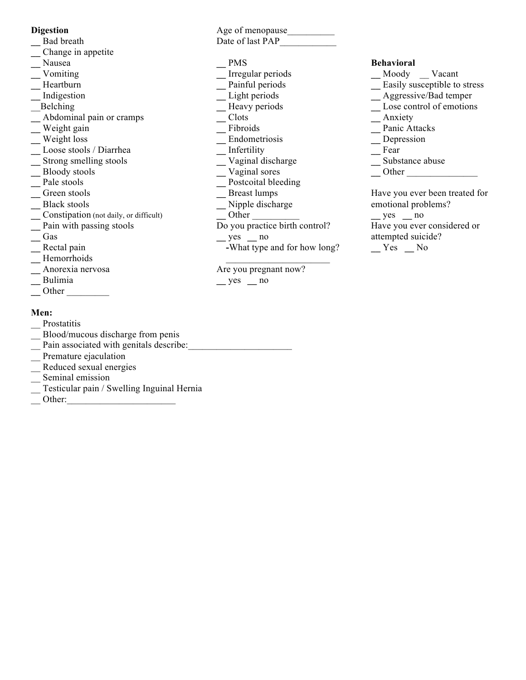### **Digestion** Age of menopause

- 
- **\_\_** Change in appetite
- 
- 
- 
- 
- 
- $\frac{1}{\sqrt{2}}$  Abdominal pain or cramps
- 
- 
- 
- 
- 
- 
- 
- 
- 
- 
- 
- 
- 
- **\_\_** Hemorrhoids \_\_\_\_\_\_\_\_\_\_\_\_\_\_\_\_\_\_\_\_\_\_
- 
- **\_\_** Other \_\_\_\_\_\_\_\_\_

### **Men:**

- \_\_ Prostatitis
- Blood/mucous discharge from penis
- $\equiv$  Pain associated with genitals describe:
- \_Premature ejaculation
- \_\_ Reduced sexual energies
- \_\_ Seminal emission
- \_\_ Testicular pain / Swelling Inguinal Hernia
- $\Box$  Other:

Bad breath Date of last PAP **\_\_** Nausea **\_\_** PMS **Behavioral**  $\frac{1}{2}$  Vomiting **Little Community Community Community Community Community Community Community Community Community Community Community Community Community Community Community Community Community Community Community Commu** — Heartburn — Painful periods — Easily susceptible to stress<br>
— Indigestion — Light periods — Aggressive/Bad temper **\_\_** Light periods **\_\_\_** Aggressive/Bad temper \_\_Belching **\_\_** Heavy periods **\_\_** Lose control of emotions **\_\_** Weight gain **\_\_** Fibroids \_\_\_ Fibroids \_\_\_ **Panic Attacks** \_\_ **Panic Attacks** \_\_ **Depression**  $\Box$  Endometriosis  $\frac{1}{\sqrt{2}}$  Loose stools / Diarrhea **\_\_** Infertility **\_\_** Infertility **\_\_** Fear **\_\_** Strong smelling stools **\_\_**  $\frac{1}{\sqrt{2}}$  Substance abuse **\_\_** Strong smelling stools \_\_\_ Vaginal discharge  $\frac{1}{2}$  Vaginal discharge  $\frac{1}{2}$  Vaginal sores  $\frac{N}{2}$  Bloody stools  $\frac{N}{2}$  Vaginal sores  $\frac{N}{2}$  Other  $\frac{N}{2}$ **\_\_** Pale stools **\_\_** Postcoital bleeding **\_\_** Postcoital bleeding **\_\_** Breast lumps <u>Freen stools</u> \_\_\_ Breast lumps Have you ever been treated for Have you ever been treated for Have you ever been treated for Have you ever been treated for  $\frac{1}{2}$  Black stools  $\qquad \qquad$  Nipple discharge emotional problems?  $\frac{1}{\sqrt{2}}$  Constipation (not daily, or difficult)  $\frac{1}{\sqrt{2}}$  Other  $\frac{1}{\sqrt{2}}$  Other  $\frac{1}{\sqrt{2}}$  yes  $\frac{1}{\sqrt{2}}$  no<br>Do you practice birth control? Have you ever **Do** you practice birth control?<br> **Later Solution** Have you ever considered or<br> **Later Solution** Exercise Sites of the Solution of the Solution of the Solution of the Solution of the Solution of the Solution of the Solutio  $\frac{1}{2}$  Gas attempted suicide?<br> **\_\_** Nectal pain  $\frac{1}{2}$  and for how long?  $\frac{1}{2}$  Yes No -What type and for how long?  $Y$ es  $\_\_$ No **\_\_** Anorexia nervosa <br> **Are you pregnant now?**<br> \_\_ Bulimia \_\_ yes \_\_ no  $\frac{\text{yes}}{\text{yes}}$  **\_\_** no

- 
- 
- 
- 
- 
- 
- 
- 
- 
-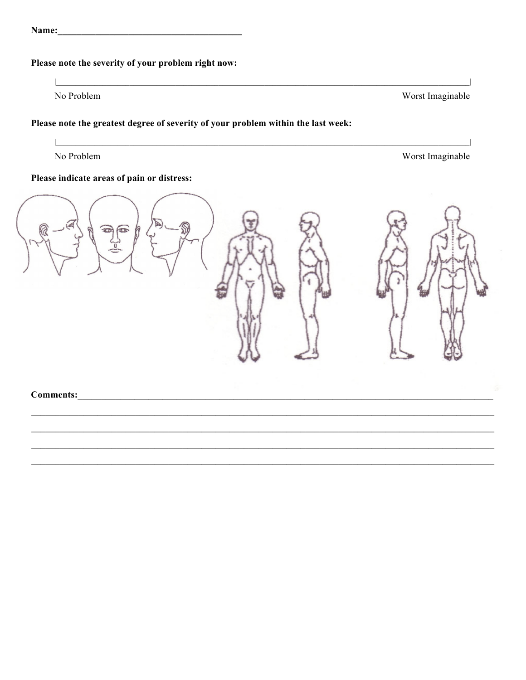Name:

 $\mathbf{L}$ 

 $\overline{\phantom{a}}$ 

### Please note the severity of your problem right now:

No Problem

Worst Imaginable

### Please note the greatest degree of severity of your problem within the last week:

No Problem

Worst Imaginable

### Please indicate areas of pain or distress: